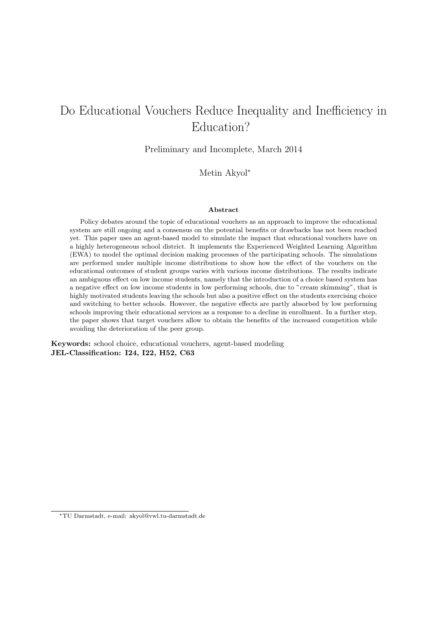# Do Educational Vouchers Reduce Inequality and Inefficiency in Education?

Preliminary and Incomplete, March 2014

Metin Akyol<sup>∗</sup>

#### Abstract

Policy debates around the topic of educational vouchers as an approach to improve the educational system are still ongoing and a consensus on the potential benefits or drawbacks has not been reached yet. This paper uses an agent-based model to simulate the impact that educational vouchers have on a highly heterogeneous school district. It implements the Experienced Weighted Learning Algorithm (EWA) to model the optimal decision making processes of the participating schools. The simulations are performed under multiple income distributions to show how the effect of the vouchers on the educational outcomes of student groups varies with various income distributions. The results indicate an ambiguous effect on low income students, namely that the introduction of a choice based system has a negative effect on low income students in low performing schools, due to "cream skimming", that is highly motivated students leaving the schools but also a positive effect on the students exercising choice and switching to better schools. However, the negative effects are partly absorbed by low performing schools improving their educational services as a response to a decline in enrollment. In a further step, the paper shows that target vouchers allow to obtain the benefits of the increased competition while avoiding the deterioration of the peer group.

Keywords: school choice, educational vouchers, agent-based modeling JEL-Classification: I24, I22, H52, C63

<sup>∗</sup>TU Darmstadt, e-mail: akyol@vwl.tu-darmstadt.de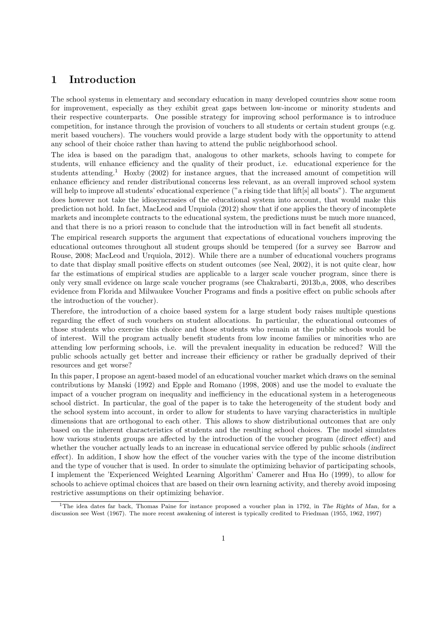# 1 Introduction

The school systems in elementary and secondary education in many developed countries show some room for improvement, especially as they exhibit great gaps between low-income or minority students and their respective counterparts. One possible strategy for improving school performance is to introduce competition, for instance through the provision of vouchers to all students or certain student groups (e.g. merit based vouchers). The vouchers would provide a large student body with the opportunity to attend any school of their choice rather than having to attend the public neighborhood school.

The idea is based on the paradigm that, analogous to other markets, schools having to compete for students, will enhance efficiency and the quality of their product, i.e. educational experience for the students attending.<sup>1</sup> Hoxby (2002) for instance argues, that the increased amount of competition will enhance efficiency and render distributional concerns less relevant, as an overall improved school system will help to improve all students' educational experience ("a rising tide that lift[s] all boats"). The argument does however not take the idiosyncrasies of the educational system into account, that would make this prediction not hold. In fact, MacLeod and Urquiola (2012) show that if one applies the theory of incomplete markets and incomplete contracts to the educational system, the predictions must be much more nuanced, and that there is no a priori reason to conclude that the introduction will in fact benefit all students.

The empirical research supports the argument that expectations of educational vouchers improving the educational outcomes throughout all student groups should be tempered (for a survey see Barrow and Rouse, 2008; MacLeod and Urquiola, 2012). While there are a number of educational vouchers programs to date that display small positive effects on student outcomes (see Neal, 2002), it is not quite clear, how far the estimations of empirical studies are applicable to a larger scale voucher program, since there is only very small evidence on large scale voucher programs (see Chakrabarti, 2013b,a, 2008, who describes evidence from Florida and Milwaukee Voucher Programs and finds a positive effect on public schools after the introduction of the voucher).

Therefore, the introduction of a choice based system for a large student body raises multiple questions regarding the effect of such vouchers on student allocations. In particular, the educational outcomes of those students who exercise this choice and those students who remain at the public schools would be of interest. Will the program actually benefit students from low income families or minorities who are attending low performing schools, i.e. will the prevalent inequality in education be reduced? Will the public schools actually get better and increase their efficiency or rather be gradually deprived of their resources and get worse?

In this paper, I propose an agent-based model of an educational voucher market which draws on the seminal contributions by Manski (1992) and Epple and Romano (1998, 2008) and use the model to evaluate the impact of a voucher program on inequality and inefficiency in the educational system in a heterogeneous school district. In particular, the goal of the paper is to take the heterogeneity of the student body and the school system into account, in order to allow for students to have varying characteristics in multiple dimensions that are orthogonal to each other. This allows to show distributional outcomes that are only based on the inherent characteristics of students and the resulting school choices. The model simulates how various students groups are affected by the introduction of the voucher program (direct effect) and whether the voucher actually leads to an increase in educational service offered by public schools (*indirect* effect). In addition, I show how the effect of the voucher varies with the type of the income distribution and the type of voucher that is used. In order to simulate the optimizing behavior of participating schools, I implement the 'Experienced Weighted Learning Algorithm' Camerer and Hua Ho (1999), to allow for schools to achieve optimal choices that are based on their own learning activity, and thereby avoid imposing restrictive assumptions on their optimizing behavior.

<sup>&</sup>lt;sup>1</sup>The idea dates far back, Thomas Paine for instance proposed a voucher plan in 1792, in The Rights of Man, for a discussion see West (1967). The more recent awakening of interest is typically credited to Friedman (1955, 1962, 1997)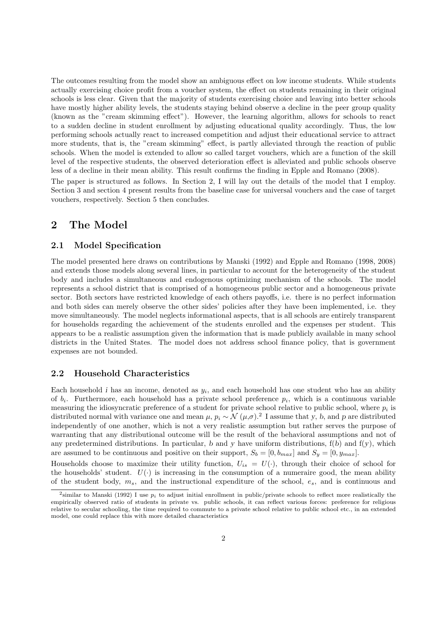The outcomes resulting from the model show an ambiguous effect on low income students. While students actually exercising choice profit from a voucher system, the effect on students remaining in their original schools is less clear. Given that the majority of students exercising choice and leaving into better schools have mostly higher ability levels, the students staying behind observe a decline in the peer group quality (known as the "cream skimming effect"). However, the learning algorithm, allows for schools to react to a sudden decline in student enrollment by adjusting educational quality accordingly. Thus, the low performing schools actually react to increased competition and adjust their educational service to attract more students, that is, the "cream skimming" effect, is partly alleviated through the reaction of public schools. When the model is extended to allow so called target vouchers, which are a function of the skill level of the respective students, the observed deterioration effect is alleviated and public schools observe less of a decline in their mean ability. This result confirms the finding in Epple and Romano (2008).

The paper is structured as follows. In Section 2, I will lay out the details of the model that I employ. Section 3 and section 4 present results from the baseline case for universal vouchers and the case of target vouchers, respectively. Section 5 then concludes.

# 2 The Model

### 2.1 Model Specification

The model presented here draws on contributions by Manski (1992) and Epple and Romano (1998, 2008) and extends those models along several lines, in particular to account for the heterogeneity of the student body and includes a simultaneous and endogenous optimizing mechanism of the schools. The model represents a school district that is comprised of a homogeneous public sector and a homogeneous private sector. Both sectors have restricted knowledge of each others payoffs, i.e. there is no perfect information and both sides can merely observe the other sides' policies after they have been implemented, i.e. they move simultaneously. The model neglects informational aspects, that is all schools are entirely transparent for households regarding the achievement of the students enrolled and the expenses per student. This appears to be a realistic assumption given the information that is made publicly available in many school districts in the United States. The model does not address school finance policy, that is government expenses are not bounded.

### 2.2 Household Characteristics

Each household  $i$  has an income, denoted as  $y_i$ , and each household has one student who has an ability of  $b_i$ . Furthermore, each household has a private school preference  $p_i$ , which is a continuous variable measuring the idiosyncratic preference of a student for private school relative to public school, where  $p_i$  is distributed normal with variance one and mean  $\mu$ ,  $p_i \sim \mathcal{N}(\mu, \sigma)$ .<sup>2</sup> I assume that y, b, and p are distributed independently of one another, which is not a very realistic assumption but rather serves the purpose of warranting that any distributional outcome will be the result of the behavioral assumptions and not of any predetermined distributions. In particular, b and y have uniform distributions,  $f(b)$  and  $f(y)$ , which are assumed to be continuous and positive on their support,  $S_b = [0, b_{max}]$  and  $S_y = [0, y_{max}]$ .

Households choose to maximize their utility function,  $U_{is} = U(.)$ , through their choice of school for the households' student.  $U(\cdot)$  is increasing in the consumption of a numeraire good, the mean ability of the student body,  $m_s$ , and the instructional expenditure of the school,  $e_s$ , and is continuous and

<sup>&</sup>lt;sup>2</sup>similar to Manski (1992) I use  $p_i$  to adjust initial enrollment in public/private schools to reflect more realistically the empirically observed ratio of students in private vs. public schools, it can reflect various forces: preference for religious relative to secular schooling, the time required to commute to a private school relative to public school etc., in an extended model, one could replace this with more detailed characteristics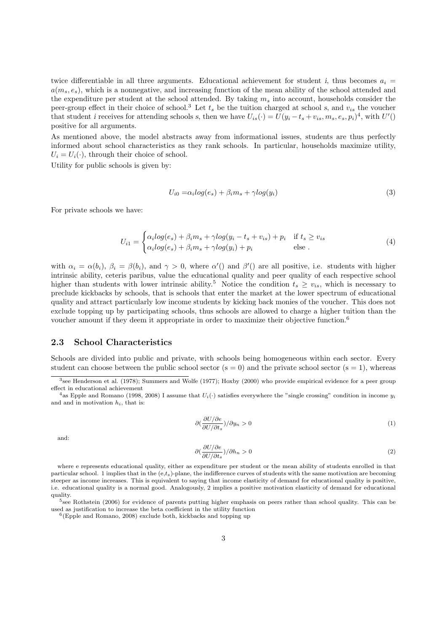twice differentiable in all three arguments. Educational achievement for student i, thus becomes  $a_i =$  $a(m_s, e_s)$ , which is a nonnegative, and increasing function of the mean ability of the school attended and the expenditure per student at the school attended. By taking  $m_s$  into account, households consider the peer-group effect in their choice of school.<sup>3</sup> Let  $t_s$  be the tuition charged at school s, and  $v_{is}$  the voucher that student *i* receives for attending schools *s*, then we have  $U_{is}(\cdot) = U(y_i - t_s + v_{is}, m_s, e_s, p_i)^4$ , with  $U'($ positive for all arguments.

As mentioned above, the model abstracts away from informational issues, students are thus perfectly informed about school characteristics as they rank schools. In particular, households maximize utility,  $U_i = U_i(\cdot)$ , through their choice of school.

Utility for public schools is given by:

$$
U_{i0} = \alpha_i \log(e_s) + \beta_i m_s + \gamma \log(y_i)
$$
\n<sup>(3)</sup>

For private schools we have:

$$
U_{i1} = \begin{cases} \alpha_i \log(e_s) + \beta_i m_s + \gamma \log(y_i - t_s + v_{is}) + p_i & \text{if } t_s \ge v_{is} \\ \alpha_i \log(e_s) + \beta_i m_s + \gamma \log(y_i) + p_i & \text{else.} \end{cases}
$$
(4)

with  $\alpha_i = \alpha(b_i)$ ,  $\beta_i = \beta(b_i)$ , and  $\gamma > 0$ , where  $\alpha'$  and  $\beta'$  are all positive, i.e. students with higher intrinsic ability, ceteris paribus, value the educational quality and peer quality of each respective school higher than students with lower intrinsic ability.<sup>5</sup> Notice the condition  $t_s \ge v_{is}$ , which is necessary to preclude kickbacks by schools, that is schools that enter the market at the lower spectrum of educational quality and attract particularly low income students by kicking back monies of the voucher. This does not exclude topping up by participating schools, thus schools are allowed to charge a higher tuition than the voucher amount if they deem it appropriate in order to maximize their objective function.<sup>6</sup>

### 2.3 School Characteristics

Schools are divided into public and private, with schools being homogeneous within each sector. Every student can choose between the public school sector ( $s = 0$ ) and the private school sector ( $s = 1$ ), whereas

$$
\partial \left(\frac{\partial U/\partial e}{\partial U/\partial t_s}\right)/\partial y_n > 0\tag{1}
$$

and:

$$
\partial \left(\frac{\partial U/\partial e}{\partial U/\partial t_s}\right)/\partial h_n > 0\tag{2}
$$

where e represents educational quality, either as expenditure per student or the mean ability of students enrolled in that particular school. 1 implies that in the (e,ts)-plane, the indifference curves of students with the same motivation are becoming steeper as income increases. This is equivalent to saying that income elasticity of demand for educational quality is positive, i.e. educational quality is a normal good. Analogously, 2 implies a positive motivation elasticity of demand for educational quality.

5 see Rothstein (2006) for evidence of parents putting higher emphasis on peers rather than school quality. This can be used as justification to increase the beta coefficient in the utility function

<sup>3</sup> see Henderson et al. (1978); Summers and Wolfe (1977); Hoxby (2000) who provide empirical evidence for a peer group effect in educational achievement

<sup>&</sup>lt;sup>4</sup>as Epple and Romano (1998, 2008) I assume that  $U_i(\cdot)$  satisfies everywhere the "single crossing" condition in income  $y_i$ and and in motivation  $h_i$ , that is:

<sup>6</sup> (Epple and Romano, 2008) exclude both, kickbacks and topping up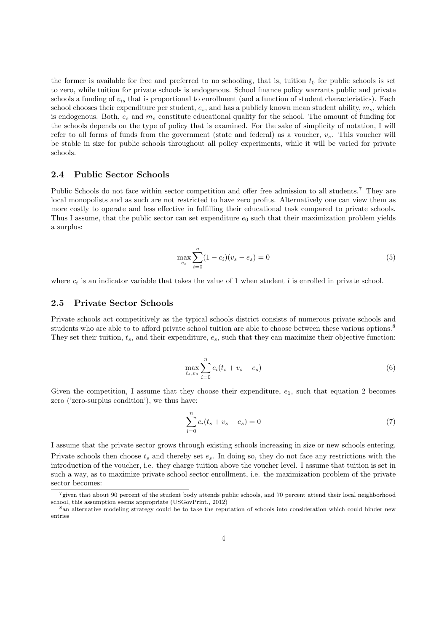the former is available for free and preferred to no schooling, that is, tuition  $t_0$  for public schools is set to zero, while tuition for private schools is endogenous. School finance policy warrants public and private schools a funding of  $v_{is}$  that is proportional to enrollment (and a function of student characteristics). Each school chooses their expenditure per student,  $e_s$ , and has a publicly known mean student ability,  $m_s$ , which is endogenous. Both,  $e_s$  and  $m_s$  constitute educational quality for the school. The amount of funding for the schools depends on the type of policy that is examined. For the sake of simplicity of notation, I will refer to all forms of funds from the government (state and federal) as a voucher,  $v_s$ . This voucher will be stable in size for public schools throughout all policy experiments, while it will be varied for private schools.

#### 2.4 Public Sector Schools

Public Schools do not face within sector competition and offer free admission to all students.<sup>7</sup> They are local monopolists and as such are not restricted to have zero profits. Alternatively one can view them as more costly to operate and less effective in fulfilling their educational task compared to private schools. Thus I assume, that the public sector can set expenditure  $e_0$  such that their maximization problem yields a surplus:

$$
\max_{e_s} \sum_{i=0}^{n} (1 - c_i)(v_s - e_s) = 0
$$
\n(5)

where  $c_i$  is an indicator variable that takes the value of 1 when student *i* is enrolled in private school.

#### 2.5 Private Sector Schools

Private schools act competitively as the typical schools district consists of numerous private schools and students who are able to to afford private school tuition are able to choose between these various options.<sup>8</sup> They set their tuition,  $t_s$ , and their expenditure,  $e_s$ , such that they can maximize their objective function:

$$
\max_{t_s, e_s} \sum_{i=0}^{n} c_i (t_s + v_s - e_s) \tag{6}
$$

Given the competition, I assume that they choose their expenditure,  $e_1$ , such that equation 2 becomes zero ('zero-surplus condition'), we thus have:

$$
\sum_{i=0}^{n} c_i (t_s + v_s - e_s) = 0
$$
\n(7)

I assume that the private sector grows through existing schools increasing in size or new schools entering. Private schools then choose  $t_s$  and thereby set  $e_s$ . In doing so, they do not face any restrictions with the introduction of the voucher, i.e. they charge tuition above the voucher level. I assume that tuition is set in such a way, as to maximize private school sector enrollment, i.e. the maximization problem of the private sector becomes:

 $7$ given that about 90 percent of the student body attends public schools, and 70 percent attend their local neighborhood school, this assumption seems appropriate (USGovPrint., 2012)

<sup>8</sup>an alternative modeling strategy could be to take the reputation of schools into consideration which could hinder new entries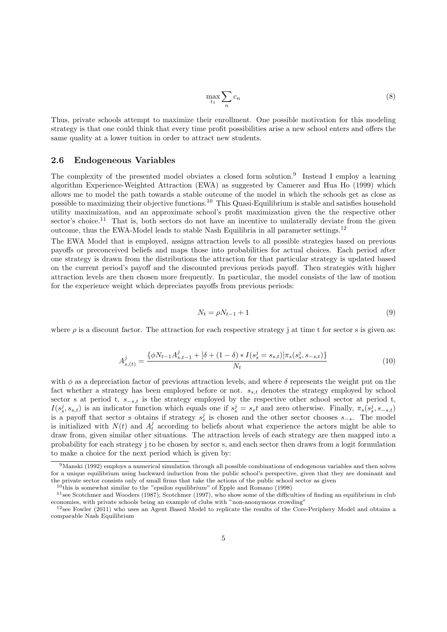$$
\max_{t_1} \sum_n c_n \tag{8}
$$

Thus, private schools attempt to maximize their enrollment. One possible motivation for this modeling strategy is that one could think that every time profit possibilities arise a new school enters and offers the same quality at a lower tuition in order to attract new students.

#### 2.6 Endogeneous Variables

The complexity of the presented model obviates a closed form solution.<sup>9</sup> Instead I employ a learning algorithm Experience-Weighted Attraction (EWA) as suggested by Camerer and Hua Ho (1999) which allows me to model the path towards a stable outcome of the model in which the schools get as close as possible to maximizing their objective functions.<sup>10</sup> This Quasi-Equilibrium is stable and satisfies household utility maximization, and an approximate school's profit maximization given the the respective other sector's choice.<sup>11</sup> That is, both sectors do not have an incentive to unilaterally deviate from the given outcome, thus the EWA-Model leads to stable Nash Equilibria in all parameter settings.<sup>12</sup>

The EWA Model that is employed, assigns attraction levels to all possible strategies based on previous payoffs or preconceived beliefs and maps those into probabilities for actual choices. Each period after one strategy is drawn from the distributions the attraction for that particular strategy is updated based on the current period's payoff and the discounted previous periods payoff. Then strategies with higher attraction levels are then chosen more frequently. In particular, the model consists of the law of motion for the experience weight which depreciates payoffs from previous periods:

$$
N_t = \rho N_{t-1} + 1 \tag{9}
$$

where  $\rho$  is a discount factor. The attraction for each respective strategy j at time t for sector s is given as:

$$
A_{s,(t)}^{j} = \frac{\{\phi N_{t-1} A_{s,t-1}^{j} + [\delta + (1-\delta) * I(s_s^j = s_{s,t})] \pi_s(s_s^j, s_{-s,t})\}}{N_t}
$$
(10)

with  $\phi$  as a depreciation factor of previous attraction levels, and where  $\delta$  represents the weight put on the fact whether a strategy has been employed before or not.  $s_{s,t}$  denotes the strategy employed by school sector s at period t,  $s_{-s,t}$  is the strategy employed by the respective other school sector at period t,  $I(s<sub>s</sub><sup>j</sup>, s<sub>s,t</sub>)$  is an indicator function which equals one if  $s<sub>s</sub><sup>j</sup> = s<sub>s</sub>t$  and zero otherwise. Finally,  $\pi<sub>s</sub>(s<sub>s</sub><sup>j</sup>, s<sub>-s,t</sub>)$ is a payoff that sector s obtains if strategy  $s_s^j$  is chosen and the other sector chooses  $s_{-s}$ . The model is initialized with  $N(t)$  and  $A_t^j$  according to beliefs about what experience the actors might be able to draw from, given similar other situations. The attraction levels of each strategy are then mapped into a probability for each strategy j to be chosen by sector s, and each sector then draws from a logit formulation to make a choice for the next period which is given by:

 $9$ Manski (1992) employs a numerical simulation through all possible combinations of endogenous variables and then solves for a unique equilibrium using backward induction from the public school's perspective, given that they are dominant and the private sector consists only of small firms that take the actions of the public school sector as given

 $10$ <sup>th</sup>is is somewhat similar to the "epsilon equilibrium" of Epple and Romano (1998)

 $11$ see Scotchmer and Wooders (1987); Scotchmer (1997), who show some of the difficulties of finding an equilibrium in club economies, with private schools being an example of clubs with "non-anonymous crowding"

 $12$ see Fowler (2011) who uses an Agent Based Model to replicate the results of the Core-Periphery Model and obtains a comparable Nash Equilibrium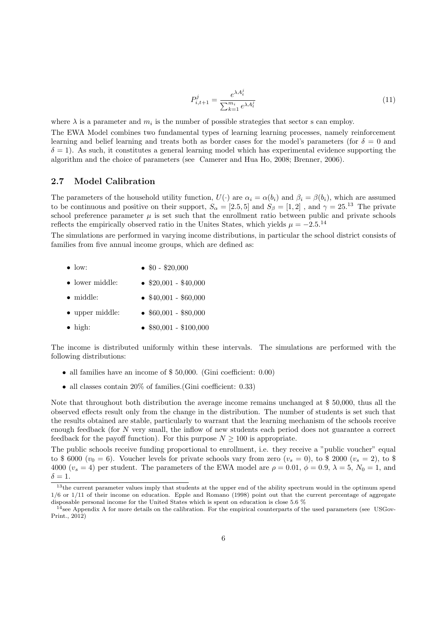$$
P_{i,t+1}^{j} = \frac{e^{\lambda A_t^j}}{\sum_{k=1}^{m_i} e^{\lambda A_t^j}}
$$
(11)

where  $\lambda$  is a parameter and  $m_i$  is the number of possible strategies that sector s can employ.

The EWA Model combines two fundamental types of learning learning processes, namely reinforcement learning and belief learning and treats both as border cases for the model's parameters (for  $\delta = 0$  and  $\delta = 1$ ). As such, it constitutes a general learning model which has experimental evidence supporting the algorithm and the choice of parameters (see Camerer and Hua Ho, 2008; Brenner, 2006).

#### 2.7 Model Calibration

The parameters of the household utility function,  $U(\cdot)$  are  $\alpha_i = \alpha(b_i)$  and  $\beta_i = \beta(b_i)$ , which are assumed to be continuous and positive on their support,  $S_{\alpha} = [2.5, 5]$  and  $S_{\beta} = [1, 2]$ , and  $\gamma = 25^{13}$  The private school preference parameter  $\mu$  is set such that the enrollment ratio between public and private schools reflects the empirically observed ratio in the Unites States, which yields  $\mu = -2.5^{14}$ 

The simulations are performed in varying income distributions, in particular the school district consists of families from five annual income groups, which are defined as:

- low: •  $$0 - $20,000$
- lower middle: •  $$20,001 - $40,000$
- middle: •  $$40,001 - $60,000$
- upper middle: •  $$60,001 - $80,000$
- high: • \$80,001 - \$100,000

The income is distributed uniformly within these intervals. The simulations are performed with the following distributions:

- all families have an income of \$ 50,000. (Gini coefficient: 0.00)
- all classes contain 20% of families. (Gini coefficient: 0.33)

Note that throughout both distribution the average income remains unchanged at \$ 50,000, thus all the observed effects result only from the change in the distribution. The number of students is set such that the results obtained are stable, particularly to warrant that the learning mechanism of the schools receive enough feedback (for N very small, the inflow of new students each period does not guarantee a correct feedback for the payoff function). For this purpose  $N \geq 100$  is appropriate.

The public schools receive funding proportional to enrollment, i.e. they receive a "public voucher" equal to \$ 6000 ( $v_0 = 6$ ). Voucher levels for private schools vary from zero ( $v_s = 0$ ), to \$ 2000 ( $v_s = 2$ ), to \$ 4000 ( $v_s = 4$ ) per student. The parameters of the EWA model are  $\rho = 0.01$ ,  $\phi = 0.9$ ,  $\lambda = 5$ ,  $N_0 = 1$ , and  $\delta = 1$ .

<sup>&</sup>lt;sup>13</sup>the current parameter values imply that students at the upper end of the ability spectrum would in the optimum spend 1/6 or 1/11 of their income on education. Epple and Romano (1998) point out that the current percentage of aggregate disposable personal income for the United States which is spent on education is close 5.6 %

 $14$ see Appendix A for more details on the calibration. For the empirical counterparts of the used parameters (see USGov-Print., 2012)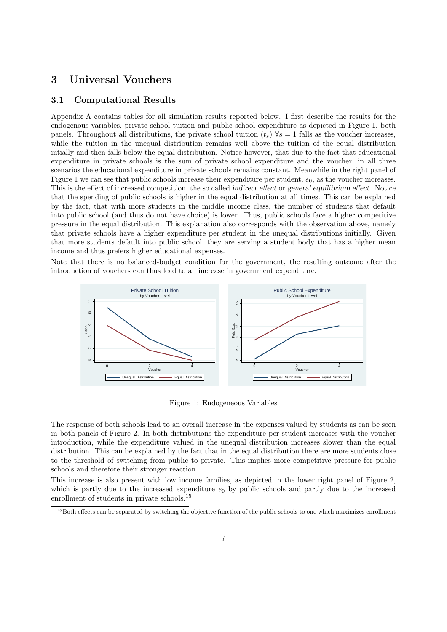## 3 Universal Vouchers

#### 3.1 Computational Results

Appendix A contains tables for all simulation results reported below. I first describe the results for the endogenous variables, private school tuition and public school expenditure as depicted in Figure 1, both panels. Throughout all distributions, the private school tuition  $(t_s) \forall s = 1$  falls as the voucher increases, while the tuition in the unequal distribution remains well above the tuition of the equal distribution intially and then falls below the equal distribution. Notice however, that due to the fact that educational expenditure in private schools is the sum of private school expenditure and the voucher, in all three scenarios the educational expenditure in private schools remains constant. Meanwhile in the right panel of Figure 1 we can see that public schools increase their expenditure per student,  $e_0$ , as the voucher increases. This is the effect of increased competition, the so called indirect effect or general equilibrium effect. Notice that the spending of public schools is higher in the equal distribution at all times. This can be explained by the fact, that with more students in the middle income class, the number of students that default into public school (and thus do not have choice) is lower. Thus, public schools face a higher competitive pressure in the equal distribution. This explanation also corresponds with the observation above, namely that private schools have a higher expenditure per student in the unequal distributions initially. Given that more students default into public school, they are serving a student body that has a higher mean income and thus prefers higher educational expenses.

Note that there is no balanced-budget condition for the government, the resulting outcome after the introduction of vouchers can thus lead to an increase in government expenditure.



Figure 1: Endogeneous Variables

The response of both schools lead to an overall increase in the expenses valued by students as can be seen in both panels of Figure 2. In both distributions the expenditure per student increases with the voucher introduction, while the expenditure valued in the unequal distribution increases slower than the equal distribution. This can be explained by the fact that in the equal distribution there are more students close to the threshold of switching from public to private. This implies more competitive pressure for public schools and therefore their stronger reaction.

This increase is also present with low income families, as depicted in the lower right panel of Figure 2, which is partly due to the increased expenditure  $e_0$  by public schools and partly due to the increased enrollment of students in private schools.<sup>15</sup>

<sup>&</sup>lt;sup>15</sup>Both effects can be separated by switching the objective function of the public schools to one which maximizes enrollment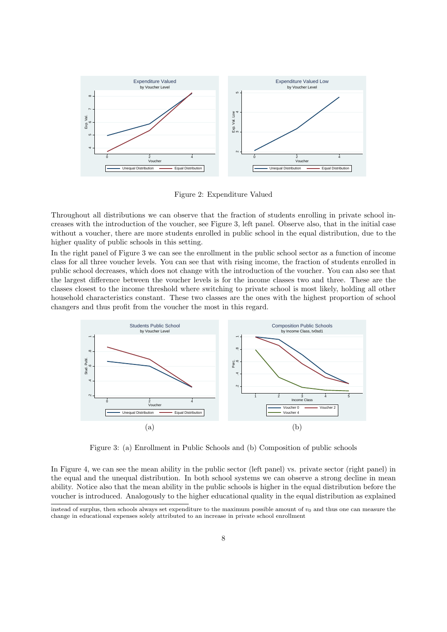

Figure 2: Expenditure Valued

Throughout all distributions we can observe that the fraction of students enrolling in private school increases with the introduction of the voucher, see Figure 3, left panel. Observe also, that in the initial case without a voucher, there are more students enrolled in public school in the equal distribution, due to the higher quality of public schools in this setting.

In the right panel of Figure 3 we can see the enrollment in the public school sector as a function of income class for all three voucher levels. You can see that with rising income, the fraction of students enrolled in public school decreases, which does not change with the introduction of the voucher. You can also see that the largest difference between the voucher levels is for the income classes two and three. These are the classes closest to the income threshold where switching to private school is most likely, holding all other household characteristics constant. These two classes are the ones with the highest proportion of school changers and thus profit from the voucher the most in this regard.



Figure 3: (a) Enrollment in Public Schools and (b) Composition of public schools

In Figure 4, we can see the mean ability in the public sector (left panel) vs. private sector (right panel) in the equal and the unequal distribution. In both school systems we can observe a strong decline in mean ability. Notice also that the mean ability in the public schools is higher in the equal distribution before the voucher is introduced. Analogously to the higher educational quality in the equal distribution as explained

instead of surplus, then schools always set expenditure to the maximum possible amount of  $v_0$  and thus one can measure the change in educational expenses solely attributed to an increase in private school enrollment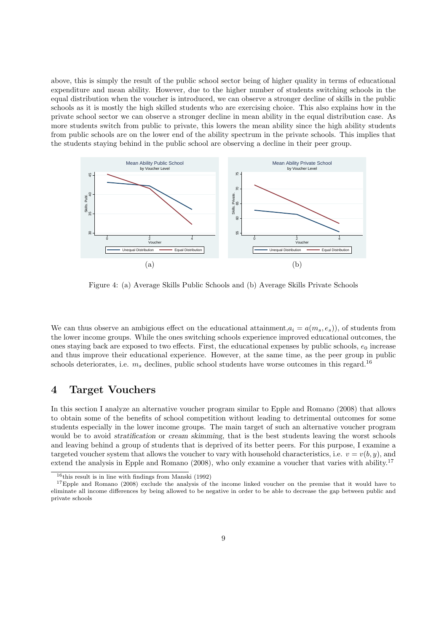above, this is simply the result of the public school sector being of higher quality in terms of educational expenditure and mean ability. However, due to the higher number of students switching schools in the equal distribution when the voucher is introduced, we can observe a stronger decline of skills in the public schools as it is mostly the high skilled students who are exercising choice. This also explains how in the private school sector we can observe a stronger decline in mean ability in the equal distribution case. As more students switch from public to private, this lowers the mean ability since the high ability students from public schools are on the lower end of the ability spectrum in the private schools. This implies that the students staying behind in the public school are observing a decline in their peer group.



Figure 4: (a) Average Skills Public Schools and (b) Average Skills Private Schools

We can thus observe an ambigious effect on the educational attainment,  $a_i = a(m_s, e_s)$ , of students from the lower income groups. While the ones switching schools experience improved educational outcomes, the ones staying back are exposed to two effects. First, the educational expenses by public schools,  $e_0$  increase and thus improve their educational experience. However, at the same time, as the peer group in public schools deteriorates, i.e.  $m_s$  declines, public school students have worse outcomes in this regard.<sup>16</sup>

### 4 Target Vouchers

In this section I analyze an alternative voucher program similar to Epple and Romano (2008) that allows to obtain some of the benefits of school competition without leading to detrimental outcomes for some students especially in the lower income groups. The main target of such an alternative voucher program would be to avoid stratification or cream skimming, that is the best students leaving the worst schools and leaving behind a group of students that is deprived of its better peers. For this purpose, I examine a targeted voucher system that allows the voucher to vary with household characteristics, i.e.  $v = v(b, y)$ , and extend the analysis in Epple and Romano (2008), who only examine a voucher that varies with ability.<sup>17</sup>

 $16$ this result is in line with findings from Manski (1992)

<sup>&</sup>lt;sup>17</sup>Epple and Romano (2008) exclude the analysis of the income linked voucher on the premise that it would have to eliminate all income differences by being allowed to be negative in order to be able to decrease the gap between public and private schools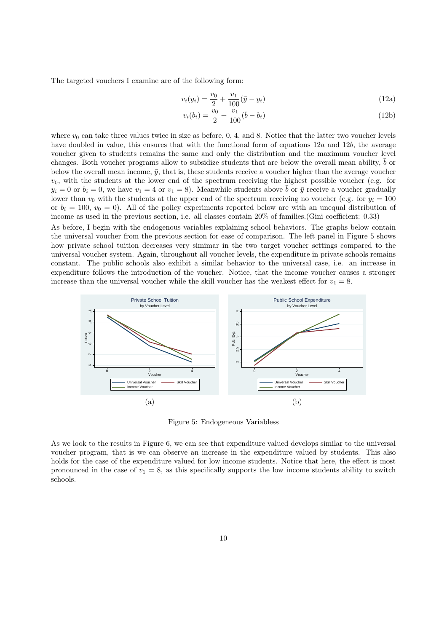The targeted vouchers I examine are of the following form:

$$
v_i(y_i) = \frac{v_0}{2} + \frac{v_1}{100} (\bar{y} - y_i)
$$
\n(12a)

$$
v_i(b_i) = \frac{v_0}{2} + \frac{v_1}{100}(\bar{b} - b_i)
$$
\n(12b)

where  $v_0$  can take three values twice in size as before, 0, 4, and 8. Notice that the latter two voucher levels have doubled in value, this ensures that with the functional form of equations  $12a$  and  $12b$ , the average voucher given to students remains the same and only the distribution and the maximum voucher level changes. Both voucher programs allow to subsidize students that are below the overall mean ability,  $\bar{b}$  or below the overall mean income,  $\bar{y}$ , that is, these students receive a voucher higher than the average voucher  $v_0$ , with the students at the lower end of the spectrum receiving the highest possible voucher (e.g. for  $y_i = 0$  or  $b_i = 0$ , we have  $v_1 = 4$  or  $v_1 = 8$ ). Meanwhile students above  $\bar{b}$  or  $\bar{y}$  receive a voucher gradually lower than  $v_0$  with the students at the upper end of the spectrum receiving no voucher (e.g. for  $y_i = 100$ ) or  $b_i = 100, v_0 = 0$ . All of the policy experiments reported below are with an unequal distribution of income as used in the previous section, i.e. all classes contain 20% of families.(Gini coefficient: 0.33)

As before, I begin with the endogenous variables explaining school behaviors. The graphs below contain the universal voucher from the previous section for ease of comparison. The left panel in Figure 5 shows how private school tuition decreases very simimar in the two target voucher settings compared to the universal voucher system. Again, throughout all voucher levels, the expenditure in private schools remains constant. The public schools also exhibit a similar behavior to the universal case, i.e. an increase in expenditure follows the introduction of the voucher. Notice, that the income voucher causes a stronger increase than the universal voucher while the skill voucher has the weakest effect for  $v_1 = 8$ .



Figure 5: Endogeneous Variabless

As we look to the results in Figure 6, we can see that expenditure valued develops similar to the universal voucher program, that is we can observe an increase in the expenditure valued by students. This also holds for the case of the expenditure valued for low income students. Notice that here, the effect is most pronounced in the case of  $v_1 = 8$ , as this specifically supports the low income students ability to switch schools.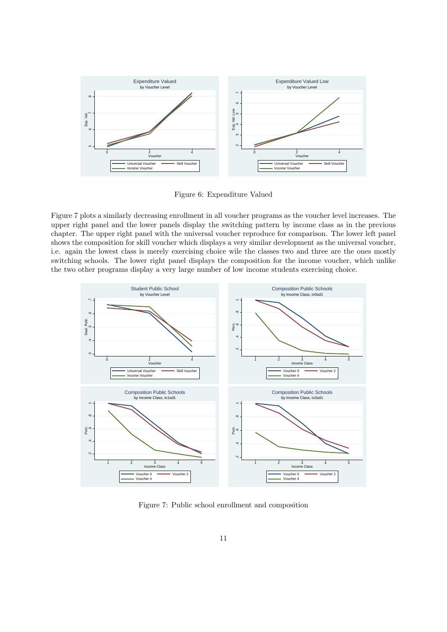

Figure 6: Expenditure Valued

Figure 7 plots a similarly decreasing enrollment in all voucher programs as the voucher level increases. The upper right panel and the lower panels display the switching pattern by income class as in the previous chapter. The upper right panel with the universal voucher reproduce for comparison. The lower left panel shows the composition for skill voucher which displays a very similar development as the universal voucher, i.e. again the lowest class is merely exercising choice wile the classes two and three are the ones mostly switching schools. The lower right panel displays the composition for the income voucher, which unlike the two other programs display a very large number of low income students exercising choice.



Figure 7: Public school enrollment and composition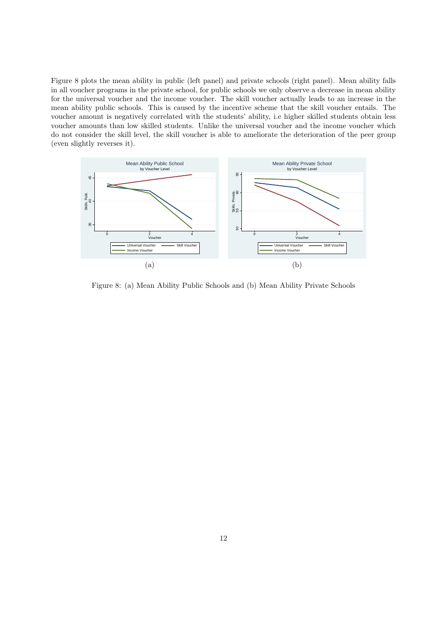Figure 8 plots the mean ability in public (left panel) and private schools (right panel). Mean ability falls in all voucher programs in the private school, for public schools we only observe a decrease in mean ability for the universal voucher and the income voucher. The skill voucher actually leads to an increase in the mean ability public schools. This is caused by the incentive scheme that the skill voucher entails. The voucher amount is negatively correlated with the students' ability, i.e higher skilled students obtain less voucher amounts than low skilled students. Unlike the universal voucher and the income voucher which do not consider the skill level, the skill voucher is able to ameliorate the deterioration of the peer group (even slightly reverses it).



Figure 8: (a) Mean Ability Public Schools and (b) Mean Ability Private Schools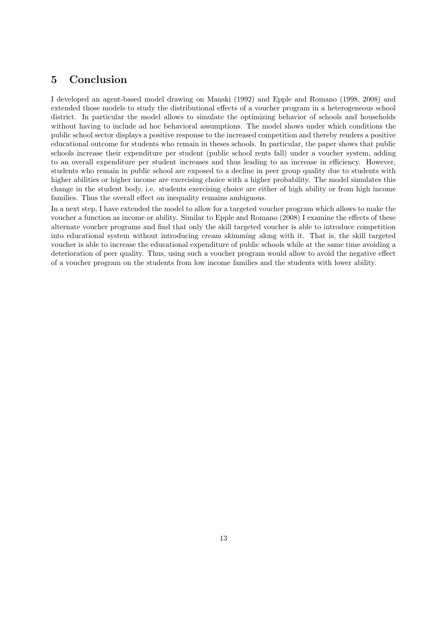# 5 Conclusion

I developed an agent-based model drawing on Manski (1992) and Epple and Romano (1998, 2008) and extended those models to study the distributional effects of a voucher program in a heterogeneous school district. In particular the model allows to simulate the optimizing behavior of schools and households without having to include ad hoc behavioral assumptions. The model shows under which conditions the public school sector displays a positive response to the increased competition and thereby renders a positive educational outcome for students who remain in theses schools. In particular, the paper shows that public schools increase their expenditure per student (public school rents fall) under a voucher system, adding to an overall expenditure per student increases and thus leading to an increase in efficiency. However, students who remain in public school are exposed to a decline in peer group quality due to students with higher abilities or higher income are exercising choice with a higher probability. The model simulates this change in the student body, i.e. students exercising choice are either of high ability or from high income families. Thus the overall effect on inequality remains ambiguous.

In a next step, I have extended the model to allow for a targeted voucher program which allows to make the voucher a function as income or ability. Similar to Epple and Romano (2008) I examine the effects of these alternate voucher programs and find that only the skill targeted voucher is able to introduce competition into educational system without introducing cream skimming along with it. That is, the skill targeted voucher is able to increase the educational expenditure of public schools while at the same time avoiding a deterioration of peer quality. Thus, using such a voucher program would allow to avoid the negative effect of a voucher program on the students from low income families and the students with lower ability.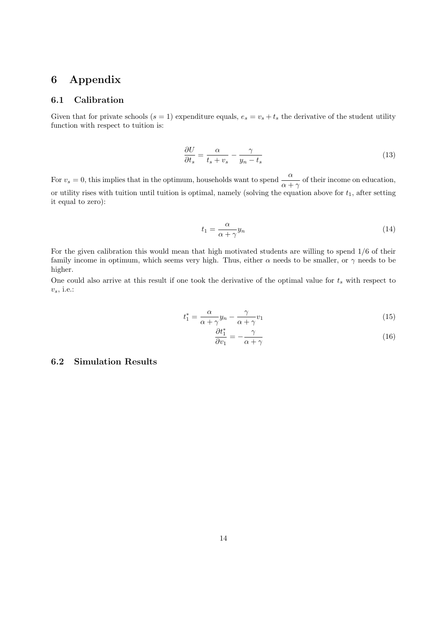# 6 Appendix

### 6.1 Calibration

Given that for private schools  $(s = 1)$  expenditure equals,  $e_s = v_s + t_s$  the derivative of the student utility function with respect to tuition is:

$$
\frac{\partial U}{\partial t_s} = \frac{\alpha}{t_s + v_s} - \frac{\gamma}{y_n - t_s} \tag{13}
$$

For  $v_s = 0$ , this implies that in the optimum, households want to spend  $\frac{\alpha}{\alpha + \gamma}$  of their income on education, or utility rises with tuition until tuition is optimal, namely (solving the equation above for  $t_1$ , after setting it equal to zero):

$$
t_1 = \frac{\alpha}{\alpha + \gamma} y_n \tag{14}
$$

For the given calibration this would mean that high motivated students are willing to spend 1/6 of their family income in optimum, which seems very high. Thus, either  $\alpha$  needs to be smaller, or  $\gamma$  needs to be higher.

One could also arrive at this result if one took the derivative of the optimal value for  $t_s$  with respect to  $v_s$ , i.e.:

$$
t_1^* = \frac{\alpha}{\alpha + \gamma} y_n - \frac{\gamma}{\alpha + \gamma} v_1
$$
\n<sup>(15)</sup>

$$
\frac{\partial t_1^*}{\partial v_1} = -\frac{\gamma}{\alpha + \gamma} \tag{16}
$$

### 6.2 Simulation Results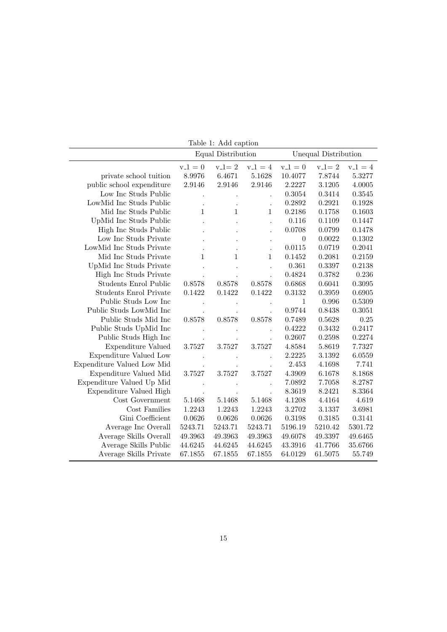| Table 1: Add caption          |                    |              |                      |                      |           |           |  |  |  |  |
|-------------------------------|--------------------|--------------|----------------------|----------------------|-----------|-----------|--|--|--|--|
|                               | Equal Distribution |              |                      | Unequal Distribution |           |           |  |  |  |  |
|                               | $v_1 = 0$          | $v_1 = 2$    | $v_1 = 4$            | $v_1 = 0$            | $v_1 = 2$ | $v_1 = 4$ |  |  |  |  |
| private school tuition        | 8.9976             | 6.4671       | 5.1628               | 10.4077              | 7.8744    | 5.3277    |  |  |  |  |
| public school expenditure     | 2.9146             | 2.9146       | 2.9146               | 2.2227               | 3.1205    | 4.0005    |  |  |  |  |
| Low Inc Studs Public          |                    |              |                      | 0.3054               | 0.3414    | 0.3545    |  |  |  |  |
| LowMid Inc Studs Public       |                    |              |                      | 0.2892               | 0.2921    | 0.1928    |  |  |  |  |
| Mid Inc Studs Public          | 1                  | $\mathbf{1}$ | $\mathbf{1}$         | 0.2186               | 0.1758    | 0.1603    |  |  |  |  |
| UpMid Inc Studs Public        |                    |              |                      | 0.116                | 0.1109    | 0.1447    |  |  |  |  |
| High Inc Studs Public         |                    |              |                      | 0.0708               | 0.0799    | 0.1478    |  |  |  |  |
| Low Inc Studs Private         |                    |              | $\ddot{\phantom{0}}$ | $\boldsymbol{0}$     | 0.0022    | 0.1302    |  |  |  |  |
| LowMid Inc Studs Private      |                    |              |                      | 0.0115               | 0.0719    | 0.2041    |  |  |  |  |
| Mid Inc Studs Private         | $\mathbf 1$        | 1            | $\mathbf{1}$         | 0.1452               | 0.2081    | 0.2159    |  |  |  |  |
| UpMid Inc Studs Private       |                    |              | $\ddot{\phantom{0}}$ | 0.361                | 0.3397    | 0.2138    |  |  |  |  |
| High Inc Studs Private        |                    |              |                      | $\,0.4824\,$         | 0.3782    | 0.236     |  |  |  |  |
| <b>Students Enrol Public</b>  | 0.8578             | 0.8578       | 0.8578               | 0.6868               | 0.6041    | 0.3095    |  |  |  |  |
| <b>Students Enrol Private</b> | 0.1422             | 0.1422       | 0.1422               | 0.3132               | 0.3959    | 0.6905    |  |  |  |  |
| Public Studs Low Inc          |                    |              |                      | $\mathbf{1}$         | 0.996     | 0.5309    |  |  |  |  |
| Public Studs LowMid Inc       |                    |              |                      | 0.9744               | 0.8438    | 0.3051    |  |  |  |  |
| Public Studs Mid Inc          | 0.8578             | 0.8578       | 0.8578               | 0.7489               | 0.5628    | 0.25      |  |  |  |  |
| Public Studs UpMid Inc        |                    |              |                      | 0.4222               | 0.3432    | 0.2417    |  |  |  |  |
| Public Studs High Inc         |                    |              |                      | 0.2607               | 0.2598    | 0.2274    |  |  |  |  |
| <b>Expenditure Valued</b>     | 3.7527             | 3.7527       | 3.7527               | 4.8584               | 5.8619    | 7.7327    |  |  |  |  |
| Expenditure Valued Low        |                    |              |                      | 2.2225               | 3.1392    | 6.0559    |  |  |  |  |
| Expenditure Valued Low Mid    |                    |              |                      | 2.453                | 4.1698    | 7.741     |  |  |  |  |
| Expenditure Valued Mid        | 3.7527             | 3.7527       | 3.7527               | 4.3909               | 6.1678    | 8.1868    |  |  |  |  |
| Expenditure Valued Up Mid     |                    |              |                      | 7.0892               | 7.7058    | 8.2787    |  |  |  |  |
| Expenditure Valued High       |                    |              |                      | 8.3619               | 8.2421    | 8.3364    |  |  |  |  |
| Cost Government               | 5.1468             | 5.1468       | 5.1468               | 4.1208               | 4.4164    | 4.619     |  |  |  |  |
| Cost Families                 | 1.2243             | 1.2243       | 1.2243               | 3.2702               | 3.1337    | 3.6981    |  |  |  |  |
| Gini Coefficient              | 0.0626             | 0.0626       | 0.0626               | 0.3198               | 0.3185    | 0.3141    |  |  |  |  |
| Average Inc Overall           | 5243.71            | 5243.71      | 5243.71              | 5196.19              | 5210.42   | 5301.72   |  |  |  |  |
| Average Skills Overall        | 49.3963            | 49.3963      | 49.3963              | 49.6078              | 49.3397   | 49.6465   |  |  |  |  |
| Average Skills Public         | 44.6245            | 44.6245      | 44.6245              | 43.3916              | 41.7766   | 35.6766   |  |  |  |  |
| Average Skills Private        | 67.1855            | 67.1855      | 67.1855              | 64.0129              | 61.5075   | 55.749    |  |  |  |  |

Table 1: Add caption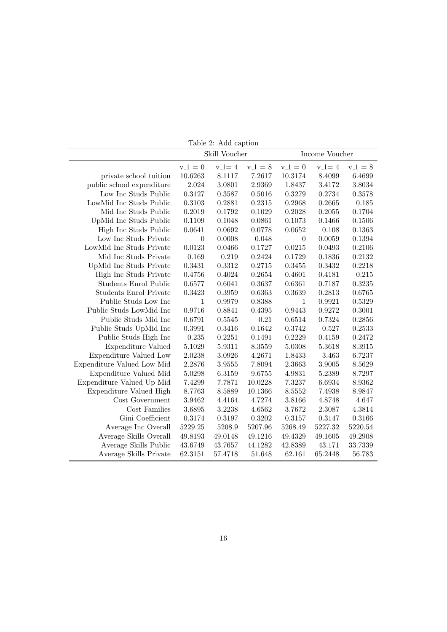|                               | Skill Voucher    |              |              | Income Voucher |              |              |
|-------------------------------|------------------|--------------|--------------|----------------|--------------|--------------|
|                               | $v_{-1} = 0$     | $v_{-}l = 4$ | $v_{-1} = 8$ | $v 1 = 0$      | $v_{-}l = 4$ | $v_{-1} = 8$ |
| private school tuition        | 10.6263          | 8.1117       | 7.2617       | 10.3174        | 8.4099       | 6.4699       |
| public school expenditure     | 2.024            | 3.0801       | 2.9369       | 1.8437         | 3.4172       | 3.8034       |
| Low Inc Studs Public          | 0.3127           | 0.3587       | 0.5016       | 0.3279         | 0.2734       | 0.3578       |
| LowMid Inc Studs Public       | 0.3103           | 0.2881       | 0.2315       | 0.2968         | 0.2665       | 0.185        |
| Mid Inc Studs Public          | 0.2019           | 0.1792       | 0.1029       | 0.2028         | 0.2055       | 0.1704       |
| UpMid Inc Studs Public        | 0.1109           | 0.1048       | 0.0861       | 0.1073         | 0.1466       | 0.1506       |
| High Inc Studs Public         | 0.0641           | 0.0692       | 0.0778       | 0.0652         | 0.108        | 0.1363       |
| Low Inc Studs Private         | $\boldsymbol{0}$ | 0.0008       | 0.048        | $\theta$       | 0.0059       | 0.1394       |
| LowMid Inc Studs Private      | 0.0123           | 0.0466       | 0.1727       | 0.0215         | 0.0493       | 0.2106       |
| Mid Inc Studs Private         | 0.169            | 0.219        | 0.2424       | 0.1729         | 0.1836       | 0.2132       |
| UpMid Inc Studs Private       | 0.3431           | 0.3312       | 0.2715       | 0.3455         | 0.3432       | 0.2218       |
| High Inc Studs Private        | 0.4756           | 0.4024       | 0.2654       | 0.4601         | 0.4181       | 0.215        |
| <b>Students Enrol Public</b>  | 0.6577           | 0.6041       | 0.3637       | 0.6361         | 0.7187       | 0.3235       |
| <b>Students Enrol Private</b> | 0.3423           | 0.3959       | 0.6363       | 0.3639         | 0.2813       | 0.6765       |
| Public Studs Low Inc          | 1                | 0.9979       | 0.8388       | $\mathbf{1}$   | 0.9921       | 0.5329       |
| Public Studs LowMid Inc       | 0.9716           | 0.8841       | 0.4395       | 0.9443         | 0.9272       | 0.3001       |
| Public Studs Mid Inc          | 0.6791           | 0.5545       | 0.21         | 0.6514         | 0.7324       | 0.2856       |
| Public Studs UpMid Inc        | 0.3991           | 0.3416       | 0.1642       | 0.3742         | 0.527        | 0.2533       |
| Public Studs High Inc         | 0.235            | 0.2251       | 0.1491       | 0.2229         | 0.4159       | 0.2472       |
| <b>Expenditure Valued</b>     | 5.1029           | 5.9311       | 8.3559       | 5.0308         | 5.3618       | 8.3915       |
| Expenditure Valued Low        | 2.0238           | 3.0926       | 4.2671       | 1.8433         | 3.463        | 6.7237       |
| Expenditure Valued Low Mid    | 2.2876           | 3.9555       | 7.8094       | 2.3663         | 3.9005       | 8.5629       |
| Expenditure Valued Mid        | 5.0298           | 6.3159       | 9.6755       | 4.9831         | 5.2389       | 8.7297       |
| Expenditure Valued Up Mid     | 7.4299           | 7.7871       | 10.0228      | 7.3237         | 6.6934       | 8.9362       |
| Expenditure Valued High       | 8.7763           | 8.5889       | 10.1366      | 8.5552         | 7.4938       | 8.9847       |
| Cost Government               | 3.9462           | 4.4164       | 4.7274       | 3.8166         | 4.8748       | 4.647        |
| Cost Families                 | 3.6895           | 3.2238       | 4.6562       | 3.7672         | 2.3087       | 4.3814       |
| Gini Coefficient              | 0.3174           | 0.3197       | 0.3202       | 0.3157         | 0.3147       | 0.3166       |
| Average Inc Overall           | 5229.25          | 5208.9       | 5207.96      | 5268.49        | 5227.32      | 5220.54      |
| Average Skills Overall        | 49.8193          | 49.0148      | 49.1216      | 49.4329        | 49.1605      | 49.2908      |
| Average Skills Public         | 43.6749          | 43.7657      | 44.1282      | 42.8389        | 43.171       | 33.7339      |
| Average Skills Private        | 62.3151          | 57.4718      | 51.648       | 62.161         | 65.2448      | 56.783       |

Table 2: Add caption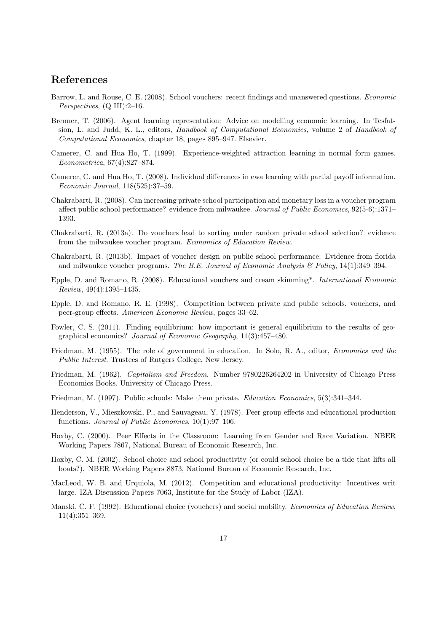### References

- Barrow, L. and Rouse, C. E. (2008). School vouchers: recent findings and unanswered questions. Economic Perspectives, (Q III):2–16.
- Brenner, T. (2006). Agent learning representation: Advice on modelling economic learning. In Tesfatsion, L. and Judd, K. L., editors, Handbook of Computational Economics, volume 2 of Handbook of Computational Economics, chapter 18, pages 895–947. Elsevier.
- Camerer, C. and Hua Ho, T. (1999). Experience-weighted attraction learning in normal form games. Econometrica, 67(4):827–874.
- Camerer, C. and Hua Ho, T. (2008). Individual differences in ewa learning with partial payoff information. Economic Journal, 118(525):37–59.
- Chakrabarti, R. (2008). Can increasing private school participation and monetary loss in a voucher program affect public school performance? evidence from milwaukee. Journal of Public Economics, 92(5-6):1371– 1393.
- Chakrabarti, R. (2013a). Do vouchers lead to sorting under random private school selection? evidence from the milwaukee voucher program. Economics of Education Review.
- Chakrabarti, R. (2013b). Impact of voucher design on public school performance: Evidence from florida and milwaukee voucher programs. The B.E. Journal of Economic Analysis  $\mathcal B$  Policy, 14(1):349–394.
- Epple, D. and Romano, R. (2008). Educational vouchers and cream skimming\*. International Economic Review, 49(4):1395–1435.
- Epple, D. and Romano, R. E. (1998). Competition between private and public schools, vouchers, and peer-group effects. American Economic Review, pages 33–62.
- Fowler, C. S. (2011). Finding equilibrium: how important is general equilibrium to the results of geographical economics? Journal of Economic Geography, 11(3):457–480.
- Friedman, M. (1955). The role of government in education. In Solo, R. A., editor, Economics and the Public Interest. Trustees of Rutgers College, New Jersey.
- Friedman, M. (1962). Capitalism and Freedom. Number 9780226264202 in University of Chicago Press Economics Books. University of Chicago Press.
- Friedman, M. (1997). Public schools: Make them private. Education Economics, 5(3):341–344.
- Henderson, V., Mieszkowski, P., and Sauvageau, Y. (1978). Peer group effects and educational production functions. Journal of Public Economics, 10(1):97–106.
- Hoxby, C. (2000). Peer Effects in the Classroom: Learning from Gender and Race Variation. NBER Working Papers 7867, National Bureau of Economic Research, Inc.
- Hoxby, C. M. (2002). School choice and school productivity (or could school choice be a tide that lifts all boats?). NBER Working Papers 8873, National Bureau of Economic Research, Inc.
- MacLeod, W. B. and Urquiola, M. (2012). Competition and educational productivity: Incentives writ large. IZA Discussion Papers 7063, Institute for the Study of Labor (IZA).
- Manski, C. F. (1992). Educational choice (vouchers) and social mobility. Economics of Education Review, 11(4):351–369.